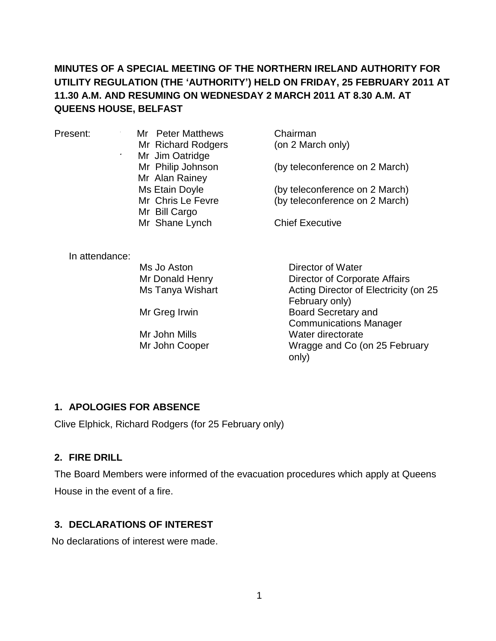## **MINUTES OF A SPECIAL MEETING OF THE NORTHERN IRELAND AUTHORITY FOR UTILITY REGULATION (THE 'AUTHORITY') HELD ON FRIDAY, 25 FEBRUARY 2011 AT 11.30 A.M. AND RESUMING ON WEDNESDAY 2 MARCH 2011 AT 8.30 A.M. AT QUEENS HOUSE, BELFAST**

Present: Mr Peter Matthews Mr Richard Rodgers Mr Jim Oatridge Mr Philip Johnson Mr Alan Rainey Ms Etain Doyle Mr Chris Le Fevre Mr Bill Cargo Mr Shane Lynch

Chairman (on 2 March only)

(by teleconference on 2 March)

(by teleconference on 2 March) (by teleconference on 2 March)

Chief Executive

In attendance:

Ms Jo Aston Mr Donald Henry Ms Tanya Wishart

Mr Greg Irwin

Mr John Mills Mr John Cooper

Director of Water Director of Corporate Affairs Acting Director of Electricity (on 25 February only) Board Secretary and Communications Manager Water directorate Wragge and Co (on 25 February only)

### **1. APOLOGIES FOR ABSENCE**

Clive Elphick, Richard Rodgers (for 25 February only)

### **2. FIRE DRILL**

The Board Members were informed of the evacuation procedures which apply at Queens House in the event of a fire.

### **3. DECLARATIONS OF INTEREST**

No declarations of interest were made.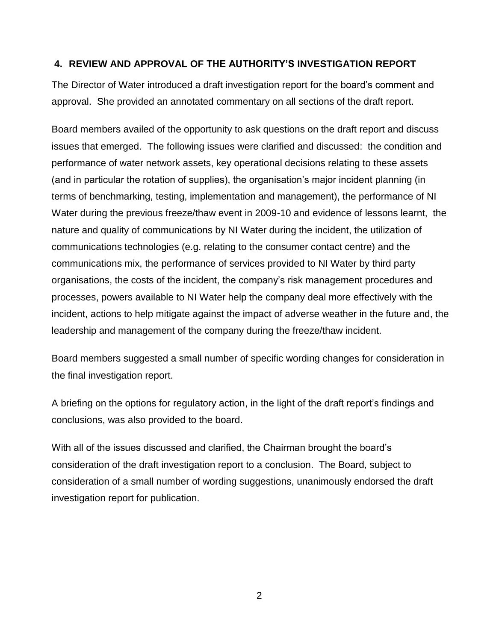#### **4. REVIEW AND APPROVAL OF THE AUTHORITY'S INVESTIGATION REPORT**

The Director of Water introduced a draft investigation report for the board's comment and approval. She provided an annotated commentary on all sections of the draft report.

Board members availed of the opportunity to ask questions on the draft report and discuss issues that emerged. The following issues were clarified and discussed: the condition and performance of water network assets, key operational decisions relating to these assets (and in particular the rotation of supplies), the organisation's major incident planning (in terms of benchmarking, testing, implementation and management), the performance of NI Water during the previous freeze/thaw event in 2009-10 and evidence of lessons learnt, the nature and quality of communications by NI Water during the incident, the utilization of communications technologies (e.g. relating to the consumer contact centre) and the communications mix, the performance of services provided to NI Water by third party organisations, the costs of the incident, the company's risk management procedures and processes, powers available to NI Water help the company deal more effectively with the incident, actions to help mitigate against the impact of adverse weather in the future and, the leadership and management of the company during the freeze/thaw incident.

Board members suggested a small number of specific wording changes for consideration in the final investigation report.

A briefing on the options for regulatory action, in the light of the draft report's findings and conclusions, was also provided to the board.

With all of the issues discussed and clarified, the Chairman brought the board's consideration of the draft investigation report to a conclusion. The Board, subject to consideration of a small number of wording suggestions, unanimously endorsed the draft investigation report for publication.